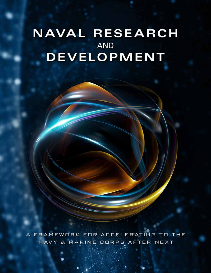## **NAVAL RESEARCH AND** DEVELOPMENT

**Naval Research and Development:** 

**A Framework for Accelerating to the** 

**Navy & Marine Corps After Next**

A FRAMEWORK FOR ACCELERATING TO THE NAVY & MARINE CORPS AFTER NEXT

*COVER PAGE PLACEHOLDER*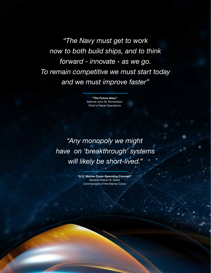*"The Navy must get to work now to both build ships, and to think forward - innovate - as we go. To remain competitive we must start today and we must improve faster"*

> *"The Future Navy"* Admiral John M. Richardson Chief of Naval Operations

*"Any monopoly we might have on 'breakthrough' systems will likely be short-lived."*

> *"U.S. Marine Corps Operating Concept"* General Robert B. Neller Commandant of the Marine Corps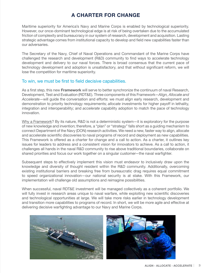## **A CHARTER FOR CHANGE**

Maritime superiority for America's Navy and Marine Corps is enabled by technological superiority. However, our once-dominant technological edge is at risk of being overtaken due to the accumulated friction of complexity and bureaucracy in our system of research, development and acquisition. Lasting strategic advantage comes from institutional capacity to develop and field new capabilities faster than our adversaries.

The Secretary of the Navy, Chief of Naval Operations and Commandant of the Marine Corps have challenged the research and development (R&D) community to find ways to accelerate technology development and delivery to our naval forces. There is broad consensus that the current pace of technology development and adoption is unsatisfactory, and that without significant reform, we will lose the competition for maritime superiority.

## To win, we must be first to field decisive capabilities.

As a first step, this new **Framework** will serve to better synchronize the continuum of naval Research, Development, Test and Evaluation (RDT&E). Three components of this Framework—*Align, Allocate and Accelerate*—will guide the conversation and efforts: we must *align* early research, development and demonstration to priority technology requirements; *allocate* investments for higher payoff in lethality, integration and interoperability; and *accelerate* capability adoption to match the pace of technology innovation.

Why a Framework? By its nature, R&D is not a deterministic system—it is exploratory for the purpose of new knowledge and invention; therefore, a "plan" or "strategy" falls short as a guiding mechanism to connect Department of the Navy (DON) research activities. We need a new, faster way to align, allocate and accelerate scientific discoveries to naval programs of record and deployment as new capabilities. This Framework is offered as a charter for change and a call to action. As a charter, it outlines key issues for leaders to address and a consistent vision for innovators to achieve. As a call to action, it challenges all hands in the naval R&D community to rise above traditional boundaries, collaborate on shared priorities and focus our work together on a singular customer—the naval warfighter.

Subsequent steps to effectively implement this vision must endeavor to inclusively draw upon the knowledge and diversity of thought resident within the R&D community. Additionally, overcoming existing institutional barriers and breaking free from bureaucratic drag requires equal commitment to speed organizational innovation—our national security is at stake. With this Framework, our implementation will challenge old assumptions and reimagine possibilities.

When successful, naval RDT&E investment will be managed collectively as a coherent portfolio. We will fully invest in research areas unique to naval warfare, while exploiting new scientific discoveries and technological opportunities at large. We will take more risks earlier in technology development and transition more capabilities to programs of record. In short, we will be more agile and effective at delivering decisive warfighting advantage to our Navy and Marine Corps.

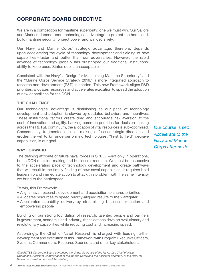## **CORPORATE BOARD DIRECTIVE**

We are in a competition for maritime superiority; one we must win. Our Sailors and Marines depend upon technological advantage to protect the homeland, build maritime security, project power and win decisively.

Our Navy and Marine Corps' strategic advantage, therefore, depends upon accelerating the cycle of technology development and fielding of new capabilities—faster and better than our adversaries. However, the rapid advance of technology globally has outstripped our traditional institutions' ability to keep pace. Status quo is unacceptable.

Consistent with the Navy's "Design for Maintaining Maritime Superiority" and the "Marine Corps Service Strategy 2016," a more integrated approach to research and development (R&D) is needed. This new Framework aligns R&D priorities, allocates resources and accelerates execution to speed the adoption of new capabilities for the DON.

## **THE CHALLENGE**

Our technological advantage is diminishing as our pace of technology development and adoption is slowed by outdated behaviors and incentives. These institutional factors create drag and encourage risk aversion at the cost of innovation and agility. Lacking common priorities for decision-making across the RDT&E continuum, the allocation of vital resources is sub-optimized. Consequently, fragmented decision-making diffuses strategic direction and erodes the will to kill underperforming technologies. "First to field" decisive capabilities, is our goal.

#### **WAY FORWARD**

The defining attribute of future naval forces is SPEED—not only in operations, but in DON decision-making and business execution. We must be responsive to the accelerating pace of technology development and create pathways that will result in the timely fielding of new naval capabilities. It requires bold leadership and immediate action to attack this problem with the same intensity we bring to the battlespace.

To win, this Framework:

- Aligns naval research, development and acquisition to shared priorities
- Allocates resources to speed priority-aligned results to the warfighter
- Accelerates capability delivery by streamlining business execution and empowering people

Building on our strong foundation of research, talented people and partners in government, academia and industry, these actions develop evolutionary and revolutionary capabilities while reducing cost and increasing speed.

Accordingly, the Chief of Naval Research is charged with leading further development and execution of this Framework with Program Executive Officers, Systems Commanders, Resource Sponsors and other key stakeholders.

*(The RDT&E Corporate Board comprises the Under Secretary of the Navy, Vice Chief of Naval Operations, Assistant Commandant of the Marine Corps and the Assistant Secretary of the Navy for Research, Development and Acquisition)*

Our course is set: *Accelerate to the Navy and Marine Corps after next!*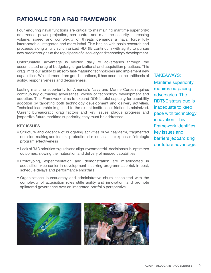## **RATIONALE FOR A R&D FRAMEWORK**

Four enduring naval functions are critical to maintaining maritime superiority: deterrence, power projection, sea control and maritime security. Increasing volume, speed and complexity of threats demands a naval force fully interoperable, integrated and more lethal. This begins with basic research and proceeds along a fully synchronized RDT&E continuum with agility to pursue new breakthroughs at the rapid pace of discovery and technology development.

Unfortunately, advantage is yielded daily to adversaries through the accumulated drag of budgetary, organizational and acquisition practices. This drag limits our ability to absorb fast-maturing technologies and implement new capabilities. While formed from good intentions, it has become the antithesis of agility, responsiveness and decisiveness.

Lasting maritime superiority for America's Navy and Marine Corps requires continuously outpacing adversaries' cycles of technology development and adoption. This Framework aims to expand DON's total capacity for capability adoption by targeting both technology development and delivery activities. Technical leadership is gained to the extent institutional friction is minimized. Current bureaucratic drag factors and key issues plague progress and jeopardize future maritime superiority; they must be addressed.

## **KEY ISSUES**

- Structure and cadence of budgeting activities drive near-term, fragmented decision-making and foster a protectionist mindset at the expense of strategic program effectiveness
- Lack of R&D priorities to guide and align investment/kill decisions sub-optimizes outcomes, slowing the maturation and delivery of needed capabilities
- Prototyping, experimentation and demonstration are misallocated in acquisition vice earlier in development incurring programmatic risk in cost, schedule delays and performance shortfalls
- Organizational bureaucracy and administrative churn associated with the complexity of acquisition rules stifle agility and innovation, and promote splintered governance over an integrated portfolio perspective

Maritime superiority requires outpacing adversaries. The RDT&E status quo is inadequate to keep pace with technology innovation. This Framework identifies key issues and barriers jeopardizing our future advantage.

TAKEAWAYS:

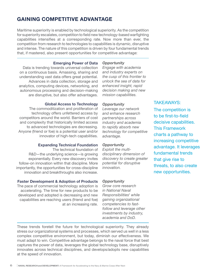## **GAINING COMPETITIVE ADVANTAGE**

Maritime superiority is enabled by technological superiority. As the competition for superiority escalates, competition to field new technology-based warfighting capabilities intensifies at a corresponding rate. Now more than ever, the competition from research to technologies to capabilities is dynamic, disruptive and intense. The nature of this competition is driven by four fundamental trends that, if mastered, also present opportunities for competitive advantage:

#### **Emerging Power of Data**

Data is trending towards universal collection on a continuous basis. Amassing, sharing and understanding vast data offers great potential. Advances in data collection, storage and analytics, computing devices, networking, and autonomous processing and decision-making are disruptive, but also offer advantages.

## **Global Access to Technology**

The commoditization and proliferation of technology offers unfettered access by competitors around the world. Barriers of cost and complexity that historically limited access to advanced technologies are decreasing. Anyone (friend or foe) is a potential user and/or innovator of high-tech capabilities.

#### **Expanding Technical Foundation**

The technical foundation of R&D—the underlying science—is growing exponentially. Every new discovery invites follow-on innovation within that discipline. More importantly, the opportunities for cross-discipline innovation and breakthroughs also increase.

## **Faster Development & Adoption of Products**

The pace of commercial technology adoption is accelerating. The time for new products to be developed and adopted is decreasing and new capabilities are reaching users (friend and foe) at an increasing rate.

## *Opportunity*

*Engage with academia and industry experts on the cusp of this frontier to unlock the sea of data for enhanced insight, rapid decision making and new mission capabilities.* 

## *Opportunity*

*Leverage our network and enhance research partnerships across industry and academia to rapidly absorb new technology for competitive advantage.*

## *Opportunity*

*Exploit the multidisciplinary dimension of discovery to create greater potential for disruptive innovation.* 

## *Opportunity*

*Grow core research in National Naval Responsibilities1 while gaining organizational competencies to fastfollow and leverage other investments by industry, academia and DoD.*

## These trends foretell the future for technological superiority. They already stress our organizational systems and processes, which served us well in a less complex competitive environment, but today, diminish our effectiveness. We must adapt to win. Competitive advantage belongs to the naval force that best captures the power of data, leverages the global technology base, disruptively innovates across technical disciplines, and develops/adopts new capabilities at the speed of innovation.

## TAKEAWAYS:

The competition is to be first-to-field decisive capabilities. This Framework charts a pathway to increasing competitive advantage. It leverages fundamental trends that give rise to threats, to also create new opportunities.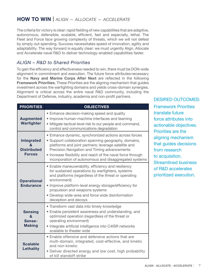## **HOW TO WIN |** *ALIGN* — *ALLOCATE* — *ACCELERATE*

The criteria for victory is clear: rapid fielding of new capabilities that are adaptive, autonomous, defensible, scalable, efficient, fast and especially, lethal. The Fleet and Force face growing complexity of threats, which we will not defeat by simply out-spending. Success necessitates speed of innovation, agility and adaptability. The way forward is equally clear: we must urgently Align, Allocate and Accelerate naval R&D to deliver technology-enabled capabilities faster.

## *ALIGN – R&D to Shared Priorities*

To gain the efficiency and effectiveness needed to win, there must be DON-wide alignment in commitment and execution. The future force attributes necessary for the **Navy and Marine Corps After Next** are reflected in the following **Framework Priorities.** These Priorities are the aligning mechanism that guides investment across the warfighting domains and yields cross-domain synergies. Alignment is critical across the entire naval R&D community, including the Department of Defense, industry, academia and non-profit partners.

| <b>PRIORITIES</b>                                      | <b>OBJECTIVES</b>                                                                                                                                                                                                                                                                                                                                        |
|--------------------------------------------------------|----------------------------------------------------------------------------------------------------------------------------------------------------------------------------------------------------------------------------------------------------------------------------------------------------------------------------------------------------------|
| <b>Augmented</b><br>Warfighter                         | • Enhance decision-making speed and quality<br>• Improve human-machine interfaces and teaming<br>• Mitigate tactical-level risk to our people and command,<br>control and communications degradation                                                                                                                                                     |
| Integrated<br>&<br><b>Distributed</b><br><b>Forces</b> | • Enhance dynamic, synchronized actions across forces<br>• Support collaboration spanning geography, domains,<br>platforms and joint partners; leverage satellite and<br>Precision Navigation and Timing advancements<br>• Increase flexibility and reach of the naval force through<br>incorporation of autonomous and disaggregated systems            |
| <b>Operational</b><br><b>Endurance</b>                 | • Enable maneuverability, efficiency and resiliency<br>for sustained operations by warfighters, systems<br>and platforms (regardless of the threat or operating<br>environment)<br>• Improve platform-level energy storage/efficiency for<br>propulsion and weapons systems<br>• Develop wide-area and force wide disinformation<br>deception and decoys |
| <b>Sensing</b><br>&<br>Sense-<br><b>Making</b>         | • Transform vast data into timely knowledge<br>• Enable persistent awareness and understanding, and<br>optimized operation (regardless of the threat or<br>operating environment)<br>• Integrate artificial intelligence into C4ISR networks<br>scalable to theater wide                                                                                 |
| <b>Scalable</b><br><b>Lethality</b>                    | • Enable offensive and defensive actions that are<br>multi-domain, integrated, cost-effective, and kinetic<br>and non-kinetic<br>Deliver directed energy and low cost, high probability<br>of kill standoff strike                                                                                                                                       |

## DESIRED OUTCOMES:

Framework Priorities translate future force attributes into actionable objectives. Priorities are the aligning mechanism that guides decisions from research to acquisition. Streamlined business of R&D accelerates prioritized execution.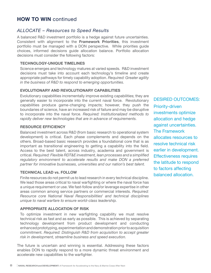## **HOW TO WIN** continued

## *ALLOCATE – Resources to Speed Results*

A balanced R&D investment portfolio is a hedge against future uncertainties. Consistent with alignment to the **Framework Priorities**, this investment portfolio must be managed with a DON perspective. While priorities guide choices, informed decisions guide allocation balance. Portfolio allocation decisions must consider the following factors:

## **TECHNOLOGY-UNIQUE TIMELINES**

Science emerges and technology matures at varied speeds. R&D investment decisions must take into account each technology's timeline and create appropriate pathways for timely capability adoption. *Required: Greater agility in the business of R&D to respond to emerging opportunities.*

## **EVOLUTIONARY AND REVOLUTIONARY CAPABILITIES**

Evolutionary capabilities incrementally improve existing capabilities; they are generally easier to incorporate into the current naval force. Revolutionary capabilities produce game-changing impacts; however, they push the boundaries of science, have an increased risk of failure and may be disruptive to incorporate into the naval force. *Required: Institutionalized methods to rapidly deliver new technologies that are in advance of requirements.*

## **RESOURCE EFFICIENCY**

Balanced investment across R&D (from basic research to operational system development) is critical. Each phase complements and depends on the others. Broad-based basic research provides a foundational core that is as important as transitional engineering to getting a capability into the field. Access to the best talent, across industry, academia and government is critical. *Required: Flexible RDT&E investment, lean processes and a simplified regulatory environment to accelerate results and make DON a preferred partner for innovative businesses, universities and our nation's best talent.* 

## **TECHNICAL LEAD vs. FOLLOW**

Finite resources do not permit us to lead research in every technical discipline. We lead those areas critical to naval warfighting or where the naval force has a unique requirement or use. We fast-follow and/or leverage expertise in other areas common among service partners or commercial interests. *Required: Resource core National Naval Responsibilities1 and technical disciplines unique to naval warfare to ensure world-class leadership.*

## **APPROPRIATE ALLOCATION OF RISK**

To optimize investment in new warfighting capability we must resolve technical risk as fast and as early as possible. This is achieved by separating technology development from product development and conducting enhanced prototyping, experimentation and demonstration prior to acquisition commitment. *Required: Distinguish R&D from acquisition to accept greater risk in development, streamline business and speed execution.*

The future is uncertain and winning is essential. Addressing these factors enables DON to rapidly respond to a more dynamic threat environment and accelerate new capabilities to the warfighter.

DESIRED OUTCOMES: Priority-driven investments optimize allocation and hedge against uncertainties. The Framework allocates resources to resolve technical risk earlier in development. Effectiveness requires the latitude to respond to factors affecting balanced allocation.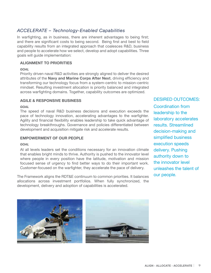## *ACCELERATE – Technology-Enabled Capabilities*

In warfighting, as in business, there are inherent advantages to being first; and there are significant costs to being second. Being first and best to field capability results from an integrated approach that coalesces R&D, business and people to accelerate how we select, develop and adopt capabilities. Three goals will guide implementation:

## **ALIGNMENT TO PRIORITIES**

#### *GOAL*

Priority driven naval R&D activities are strongly aligned to deliver the desired attributes of the **Navy and Marine Corps After Next**, driving efficiency and transforming our technology focus from a system-centric to mission-centric mindset. Resulting investment allocation is priority balanced and integrated across warfighting domains. Together, capability outcomes are optimized.

## **AGILE & RESPONSIVE BUSINESS**

#### *GOAL*

The speed of naval R&D business decisions and execution exceeds the pace of technology innovation, accelerating advantages to the warfighter. Agility and financial flexibility enables leadership to take quick advantage of technology breakthroughs. Governance and policies differentiated between development and acquisition mitigate risk and accelerate results.

## **EMPOWERMENT OF OUR PEOPLE**

#### *GOAL*

At all levels leaders set the conditions necessary for an innovation climate that enables bright minds to thrive. Authority is pushed to the innovator level where people in every position have the latitude, motivation and mission focused sense of urgency to find better ways to do their important work. Customer-focused on the warfighter, they accelerate the pace of delivery.

The Framework aligns the RDT&E continuum to common priorities. It balances allocations across investment portfolios. When fully synchronized, the development, delivery and adoption of capabilities is accelerated.

DESIRED OUTCOMES:

Coordination from leadership to the laboratory accelerates results. Streamlined decision-making and simplified business execution speeds delivery. Pushing authority down to the innovator level unleashes the talent of our people.

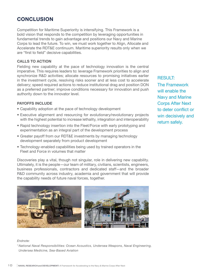## **CONCLUSION**

Competition for Maritime Superiority is intensifying. This Framework is a bold vision that responds to the competition by leveraging opportunities in fundamental trends to gain advantage and positions our Navy and Marine Corps to lead the future. To win, we must work together to Align, Allocate and Accelerate the RDT&E continuum. Maritime superiority results only when we are "first to field" decisive capabilities.

## **CALLS TO ACTION**

Fielding new capability at the pace of technology innovation is the central imperative. This requires leaders to: leverage Framework priorities to align and synchronize R&D activities; allocate resources to promising initiatives earlier in the investment cycle, resolving risks sooner and at less cost to accelerate delivery; speed required actions to reduce institutional drag and position DON as a preferred partner; improve conditions necessary for innovation and push authority down to the innovator level.

## **PAYOFFS INCLUDE**

- Capability adoption at the pace of technology development
- Executive alignment and resourcing for evolutionary/revolutionary projects with the highest potential to increase lethality, integration and interoperability
- Rapid technology insertion into the Fleet/Force with early prototyping and experimentation as an integral part of the development process
- Greater payoff from our RDT&E investments by managing technology development separately from product development
- Technology-enabled capabilities being used by trained operators in the Fleet and Force in volumes that matter

Discoveries play a vital, though not singular, role in delivering new capability. Ultimately, it is the people—our team of military, civilians, scientists, engineers, business professionals, contractors and dedicated staff—and the broader R&D community across industry, academia and government that will provide the capability needs of future naval forces, together.



#### *Endnote:*

*1 National Naval Responsibilities: Ocean Acoustics, Undersea Weapons, Naval Engineering, Undersea Medicine, Sea-Based Aviation*

RESULT: The Framework will enable the Navy and Marine Corps After Next to deter conflict or win decisively and return safely.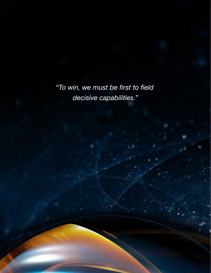*"To win, we must be first to field decisive capabilities."*